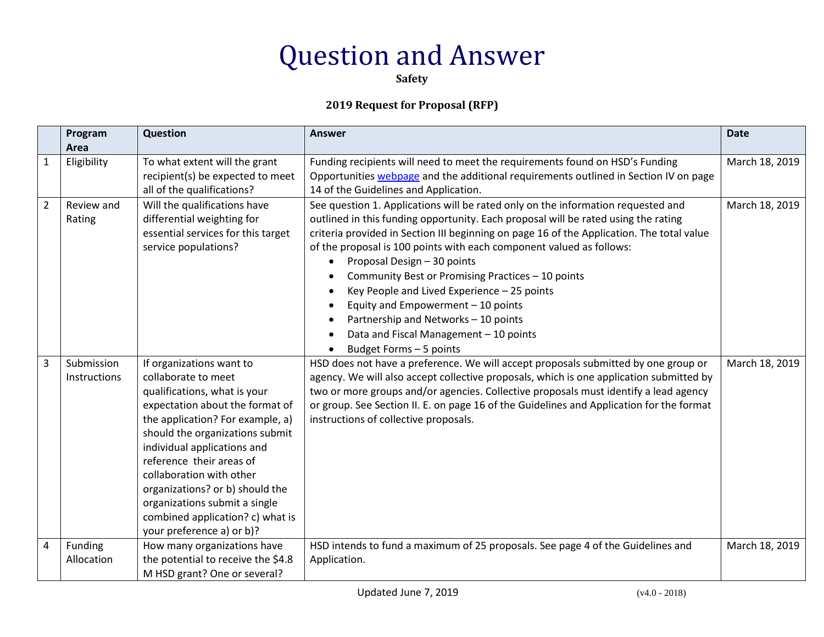**Safety**

|                | Program<br>Area            | Question                                                                                                                                                                                                                                                                                                                                                                                                              | <b>Answer</b>                                                                                                                                                                                                                                                                                                                                                                                                                                                                                                                                                                                                                                                                         | <b>Date</b>    |
|----------------|----------------------------|-----------------------------------------------------------------------------------------------------------------------------------------------------------------------------------------------------------------------------------------------------------------------------------------------------------------------------------------------------------------------------------------------------------------------|---------------------------------------------------------------------------------------------------------------------------------------------------------------------------------------------------------------------------------------------------------------------------------------------------------------------------------------------------------------------------------------------------------------------------------------------------------------------------------------------------------------------------------------------------------------------------------------------------------------------------------------------------------------------------------------|----------------|
| 1              | Eligibility                | To what extent will the grant<br>recipient(s) be expected to meet<br>all of the qualifications?                                                                                                                                                                                                                                                                                                                       | Funding recipients will need to meet the requirements found on HSD's Funding<br>Opportunities webpage and the additional requirements outlined in Section IV on page<br>14 of the Guidelines and Application.                                                                                                                                                                                                                                                                                                                                                                                                                                                                         | March 18, 2019 |
| $\overline{2}$ | Review and<br>Rating       | Will the qualifications have<br>differential weighting for<br>essential services for this target<br>service populations?                                                                                                                                                                                                                                                                                              | See question 1. Applications will be rated only on the information requested and<br>outlined in this funding opportunity. Each proposal will be rated using the rating<br>criteria provided in Section III beginning on page 16 of the Application. The total value<br>of the proposal is 100 points with each component valued as follows:<br>Proposal Design - 30 points<br>$\bullet$<br>Community Best or Promising Practices - 10 points<br>Key People and Lived Experience - 25 points<br>$\bullet$<br>Equity and Empowerment - 10 points<br>Partnership and Networks - 10 points<br>$\bullet$<br>Data and Fiscal Management - 10 points<br>$\bullet$<br>Budget Forms - 5 points | March 18, 2019 |
| 3              | Submission<br>Instructions | If organizations want to<br>collaborate to meet<br>qualifications, what is your<br>expectation about the format of<br>the application? For example, a)<br>should the organizations submit<br>individual applications and<br>reference their areas of<br>collaboration with other<br>organizations? or b) should the<br>organizations submit a single<br>combined application? c) what is<br>your preference a) or b)? | HSD does not have a preference. We will accept proposals submitted by one group or<br>agency. We will also accept collective proposals, which is one application submitted by<br>two or more groups and/or agencies. Collective proposals must identify a lead agency<br>or group. See Section II. E. on page 16 of the Guidelines and Application for the format<br>instructions of collective proposals.                                                                                                                                                                                                                                                                            | March 18, 2019 |
| 4              | Funding<br>Allocation      | How many organizations have<br>the potential to receive the \$4.8<br>M HSD grant? One or several?                                                                                                                                                                                                                                                                                                                     | HSD intends to fund a maximum of 25 proposals. See page 4 of the Guidelines and<br>Application.                                                                                                                                                                                                                                                                                                                                                                                                                                                                                                                                                                                       | March 18, 2019 |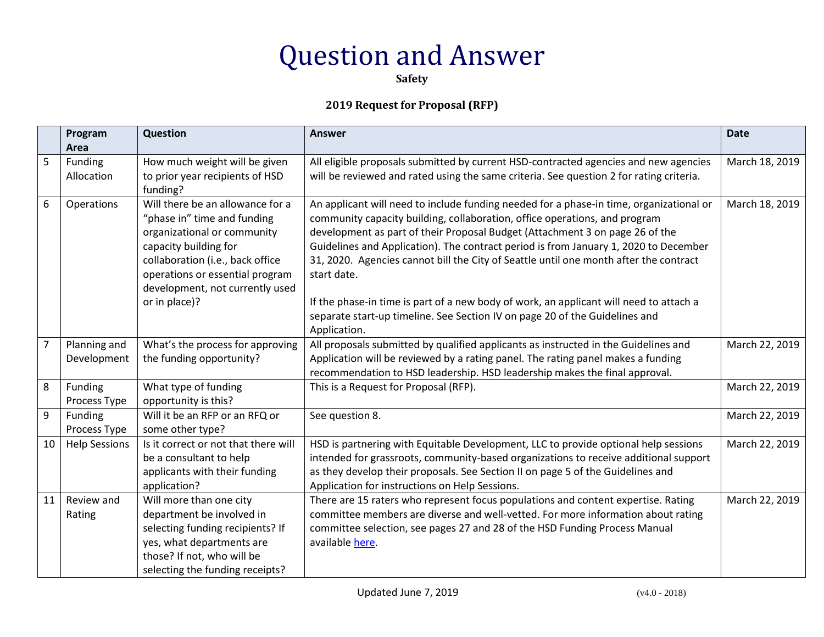**Safety**

|                | Program<br>Area             | Question                                                                                                                                                                                                                                           | <b>Answer</b>                                                                                                                                                                                                                                                                                                                                                                                                                                                                                                                                                                                                                                  | <b>Date</b>    |
|----------------|-----------------------------|----------------------------------------------------------------------------------------------------------------------------------------------------------------------------------------------------------------------------------------------------|------------------------------------------------------------------------------------------------------------------------------------------------------------------------------------------------------------------------------------------------------------------------------------------------------------------------------------------------------------------------------------------------------------------------------------------------------------------------------------------------------------------------------------------------------------------------------------------------------------------------------------------------|----------------|
| 5              | Funding<br>Allocation       | How much weight will be given<br>to prior year recipients of HSD<br>funding?                                                                                                                                                                       | All eligible proposals submitted by current HSD-contracted agencies and new agencies<br>will be reviewed and rated using the same criteria. See question 2 for rating criteria.                                                                                                                                                                                                                                                                                                                                                                                                                                                                | March 18, 2019 |
| 6              | Operations                  | Will there be an allowance for a<br>"phase in" time and funding<br>organizational or community<br>capacity building for<br>collaboration (i.e., back office<br>operations or essential program<br>development, not currently used<br>or in place)? | An applicant will need to include funding needed for a phase-in time, organizational or<br>community capacity building, collaboration, office operations, and program<br>development as part of their Proposal Budget (Attachment 3 on page 26 of the<br>Guidelines and Application). The contract period is from January 1, 2020 to December<br>31, 2020. Agencies cannot bill the City of Seattle until one month after the contract<br>start date.<br>If the phase-in time is part of a new body of work, an applicant will need to attach a<br>separate start-up timeline. See Section IV on page 20 of the Guidelines and<br>Application. | March 18, 2019 |
| $\overline{7}$ | Planning and<br>Development | What's the process for approving<br>the funding opportunity?                                                                                                                                                                                       | All proposals submitted by qualified applicants as instructed in the Guidelines and<br>Application will be reviewed by a rating panel. The rating panel makes a funding<br>recommendation to HSD leadership. HSD leadership makes the final approval.                                                                                                                                                                                                                                                                                                                                                                                          | March 22, 2019 |
| 8              | Funding<br>Process Type     | What type of funding<br>opportunity is this?                                                                                                                                                                                                       | This is a Request for Proposal (RFP).                                                                                                                                                                                                                                                                                                                                                                                                                                                                                                                                                                                                          | March 22, 2019 |
| 9              | Funding<br>Process Type     | Will it be an RFP or an RFQ or<br>some other type?                                                                                                                                                                                                 | See question 8.                                                                                                                                                                                                                                                                                                                                                                                                                                                                                                                                                                                                                                | March 22, 2019 |
| 10             | <b>Help Sessions</b>        | Is it correct or not that there will<br>be a consultant to help<br>applicants with their funding<br>application?                                                                                                                                   | HSD is partnering with Equitable Development, LLC to provide optional help sessions<br>intended for grassroots, community-based organizations to receive additional support<br>as they develop their proposals. See Section II on page 5 of the Guidelines and<br>Application for instructions on Help Sessions.                                                                                                                                                                                                                                                                                                                               | March 22, 2019 |
| 11             | Review and<br>Rating        | Will more than one city<br>department be involved in<br>selecting funding recipients? If<br>yes, what departments are<br>those? If not, who will be<br>selecting the funding receipts?                                                             | There are 15 raters who represent focus populations and content expertise. Rating<br>committee members are diverse and well-vetted. For more information about rating<br>committee selection, see pages 27 and 28 of the HSD Funding Process Manual<br>available here.                                                                                                                                                                                                                                                                                                                                                                         | March 22, 2019 |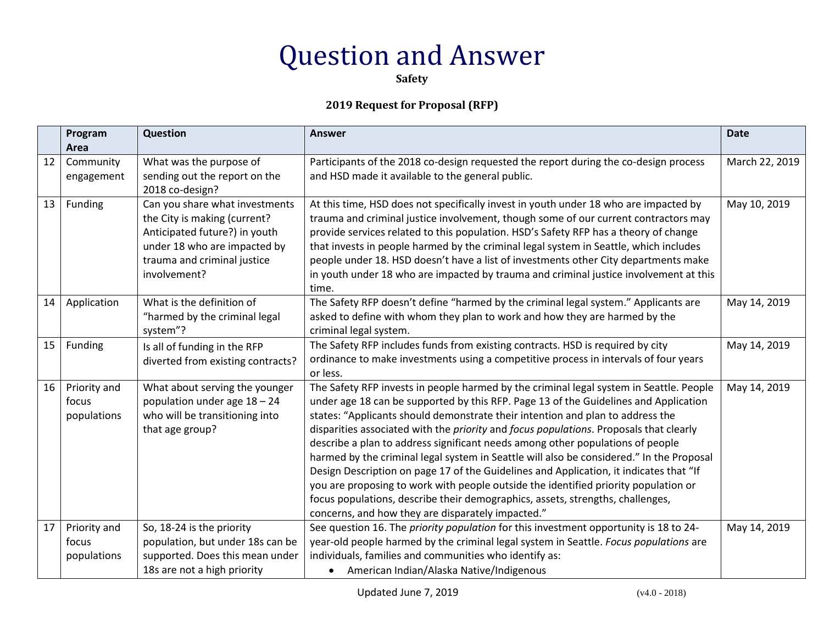**Safety**

|    | Program<br>Area                      | Question                                                                                                                                                                       | <b>Answer</b>                                                                                                                                                                                                                                                                                                                                                                                                                                                                                                                                                                                                                                                                                                                                                                                                                                                                    | <b>Date</b>    |
|----|--------------------------------------|--------------------------------------------------------------------------------------------------------------------------------------------------------------------------------|----------------------------------------------------------------------------------------------------------------------------------------------------------------------------------------------------------------------------------------------------------------------------------------------------------------------------------------------------------------------------------------------------------------------------------------------------------------------------------------------------------------------------------------------------------------------------------------------------------------------------------------------------------------------------------------------------------------------------------------------------------------------------------------------------------------------------------------------------------------------------------|----------------|
| 12 | Community<br>engagement              | What was the purpose of<br>sending out the report on the<br>2018 co-design?                                                                                                    | Participants of the 2018 co-design requested the report during the co-design process<br>and HSD made it available to the general public.                                                                                                                                                                                                                                                                                                                                                                                                                                                                                                                                                                                                                                                                                                                                         | March 22, 2019 |
| 13 | Funding                              | Can you share what investments<br>the City is making (current?<br>Anticipated future?) in youth<br>under 18 who are impacted by<br>trauma and criminal justice<br>involvement? | At this time, HSD does not specifically invest in youth under 18 who are impacted by<br>trauma and criminal justice involvement, though some of our current contractors may<br>provide services related to this population. HSD's Safety RFP has a theory of change<br>that invests in people harmed by the criminal legal system in Seattle, which includes<br>people under 18. HSD doesn't have a list of investments other City departments make<br>in youth under 18 who are impacted by trauma and criminal justice involvement at this<br>time.                                                                                                                                                                                                                                                                                                                            | May 10, 2019   |
| 14 | Application                          | What is the definition of<br>"harmed by the criminal legal<br>system"?                                                                                                         | The Safety RFP doesn't define "harmed by the criminal legal system." Applicants are<br>asked to define with whom they plan to work and how they are harmed by the<br>criminal legal system.                                                                                                                                                                                                                                                                                                                                                                                                                                                                                                                                                                                                                                                                                      | May 14, 2019   |
| 15 | Funding                              | Is all of funding in the RFP<br>diverted from existing contracts?                                                                                                              | The Safety RFP includes funds from existing contracts. HSD is required by city<br>ordinance to make investments using a competitive process in intervals of four years<br>or less.                                                                                                                                                                                                                                                                                                                                                                                                                                                                                                                                                                                                                                                                                               | May 14, 2019   |
| 16 | Priority and<br>focus<br>populations | What about serving the younger<br>population under age $18 - 24$<br>who will be transitioning into<br>that age group?                                                          | The Safety RFP invests in people harmed by the criminal legal system in Seattle. People<br>under age 18 can be supported by this RFP. Page 13 of the Guidelines and Application<br>states: "Applicants should demonstrate their intention and plan to address the<br>disparities associated with the <i>priority</i> and <i>focus populations</i> . Proposals that clearly<br>describe a plan to address significant needs among other populations of people<br>harmed by the criminal legal system in Seattle will also be considered." In the Proposal<br>Design Description on page 17 of the Guidelines and Application, it indicates that "If<br>you are proposing to work with people outside the identified priority population or<br>focus populations, describe their demographics, assets, strengths, challenges,<br>concerns, and how they are disparately impacted." | May 14, 2019   |
| 17 | Priority and<br>focus<br>populations | So, 18-24 is the priority<br>population, but under 18s can be<br>supported. Does this mean under<br>18s are not a high priority                                                | See question 16. The <i>priority population</i> for this investment opportunity is 18 to 24-<br>year-old people harmed by the criminal legal system in Seattle. Focus populations are<br>individuals, families and communities who identify as:<br>American Indian/Alaska Native/Indigenous<br>$\bullet$                                                                                                                                                                                                                                                                                                                                                                                                                                                                                                                                                                         | May 14, 2019   |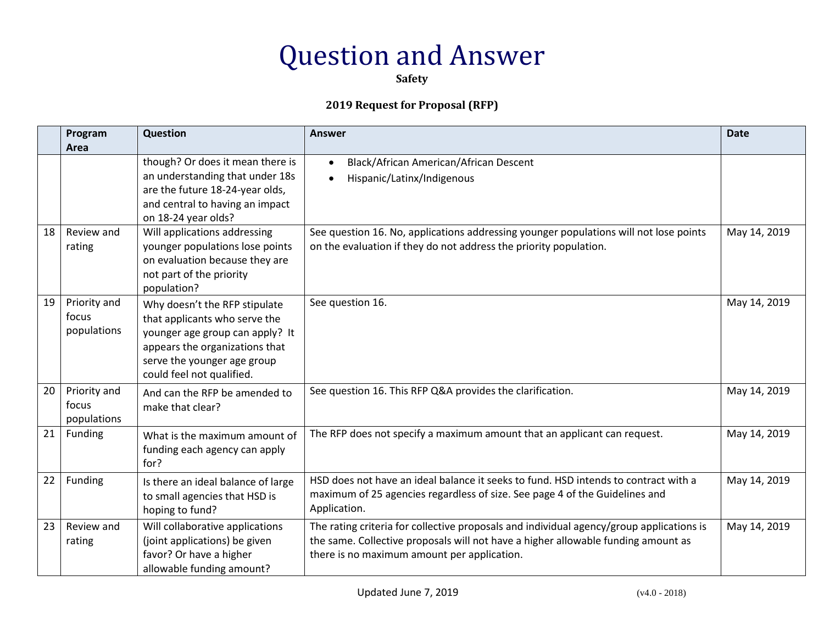**Safety**

|    | Program<br>Area                      | Question                                                                                                                                                                                        | <b>Answer</b>                                                                                                                                                                                                                | <b>Date</b>  |
|----|--------------------------------------|-------------------------------------------------------------------------------------------------------------------------------------------------------------------------------------------------|------------------------------------------------------------------------------------------------------------------------------------------------------------------------------------------------------------------------------|--------------|
|    |                                      | though? Or does it mean there is<br>an understanding that under 18s<br>are the future 18-24-year olds,<br>and central to having an impact<br>on 18-24 year olds?                                | Black/African American/African Descent<br>$\bullet$<br>Hispanic/Latinx/Indigenous                                                                                                                                            |              |
| 18 | Review and<br>rating                 | Will applications addressing<br>younger populations lose points<br>on evaluation because they are<br>not part of the priority<br>population?                                                    | See question 16. No, applications addressing younger populations will not lose points<br>on the evaluation if they do not address the priority population.                                                                   | May 14, 2019 |
| 19 | Priority and<br>focus<br>populations | Why doesn't the RFP stipulate<br>that applicants who serve the<br>younger age group can apply? It<br>appears the organizations that<br>serve the younger age group<br>could feel not qualified. | See question 16.                                                                                                                                                                                                             | May 14, 2019 |
| 20 | Priority and<br>focus<br>populations | And can the RFP be amended to<br>make that clear?                                                                                                                                               | See question 16. This RFP Q&A provides the clarification.                                                                                                                                                                    | May 14, 2019 |
| 21 | Funding                              | What is the maximum amount of<br>funding each agency can apply<br>for?                                                                                                                          | The RFP does not specify a maximum amount that an applicant can request.                                                                                                                                                     | May 14, 2019 |
| 22 | Funding                              | Is there an ideal balance of large<br>to small agencies that HSD is<br>hoping to fund?                                                                                                          | HSD does not have an ideal balance it seeks to fund. HSD intends to contract with a<br>maximum of 25 agencies regardless of size. See page 4 of the Guidelines and<br>Application.                                           | May 14, 2019 |
| 23 | Review and<br>rating                 | Will collaborative applications<br>(joint applications) be given<br>favor? Or have a higher<br>allowable funding amount?                                                                        | The rating criteria for collective proposals and individual agency/group applications is<br>the same. Collective proposals will not have a higher allowable funding amount as<br>there is no maximum amount per application. | May 14, 2019 |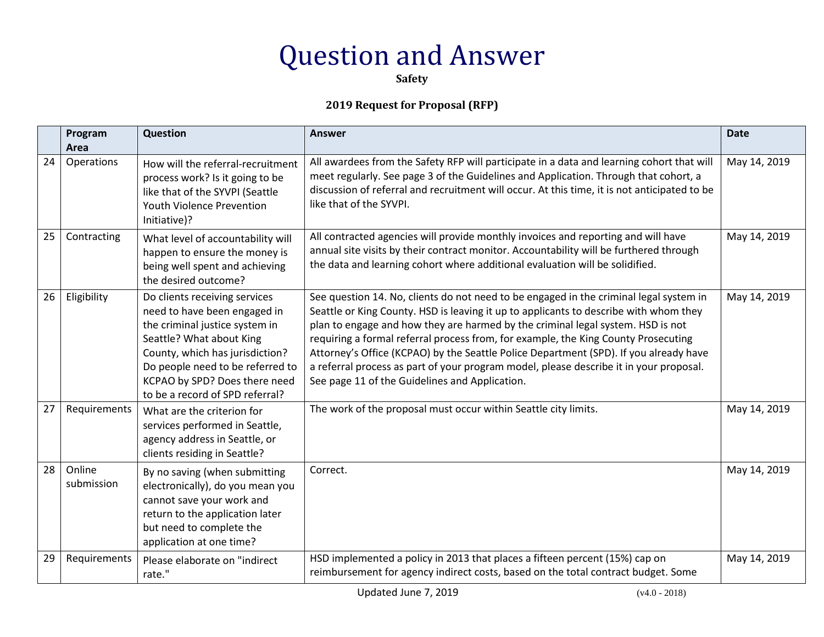**Safety**

|    | Program<br>Area      | Question                                                                                                                                                                                                                                                               | <b>Answer</b>                                                                                                                                                                                                                                                                                                                                                                                                                                                                                                                                                                                 | <b>Date</b>  |
|----|----------------------|------------------------------------------------------------------------------------------------------------------------------------------------------------------------------------------------------------------------------------------------------------------------|-----------------------------------------------------------------------------------------------------------------------------------------------------------------------------------------------------------------------------------------------------------------------------------------------------------------------------------------------------------------------------------------------------------------------------------------------------------------------------------------------------------------------------------------------------------------------------------------------|--------------|
| 24 | Operations           | How will the referral-recruitment<br>process work? Is it going to be<br>like that of the SYVPI (Seattle<br><b>Youth Violence Prevention</b><br>Initiative)?                                                                                                            | All awardees from the Safety RFP will participate in a data and learning cohort that will<br>meet regularly. See page 3 of the Guidelines and Application. Through that cohort, a<br>discussion of referral and recruitment will occur. At this time, it is not anticipated to be<br>like that of the SYVPI.                                                                                                                                                                                                                                                                                  | May 14, 2019 |
| 25 | Contracting          | What level of accountability will<br>happen to ensure the money is<br>being well spent and achieving<br>the desired outcome?                                                                                                                                           | All contracted agencies will provide monthly invoices and reporting and will have<br>annual site visits by their contract monitor. Accountability will be furthered through<br>the data and learning cohort where additional evaluation will be solidified.                                                                                                                                                                                                                                                                                                                                   | May 14, 2019 |
| 26 | Eligibility          | Do clients receiving services<br>need to have been engaged in<br>the criminal justice system in<br>Seattle? What about King<br>County, which has jurisdiction?<br>Do people need to be referred to<br>KCPAO by SPD? Does there need<br>to be a record of SPD referral? | See question 14. No, clients do not need to be engaged in the criminal legal system in<br>Seattle or King County. HSD is leaving it up to applicants to describe with whom they<br>plan to engage and how they are harmed by the criminal legal system. HSD is not<br>requiring a formal referral process from, for example, the King County Prosecuting<br>Attorney's Office (KCPAO) by the Seattle Police Department (SPD). If you already have<br>a referral process as part of your program model, please describe it in your proposal.<br>See page 11 of the Guidelines and Application. | May 14, 2019 |
| 27 | Requirements         | What are the criterion for<br>services performed in Seattle,<br>agency address in Seattle, or<br>clients residing in Seattle?                                                                                                                                          | The work of the proposal must occur within Seattle city limits.                                                                                                                                                                                                                                                                                                                                                                                                                                                                                                                               | May 14, 2019 |
| 28 | Online<br>submission | By no saving (when submitting<br>electronically), do you mean you<br>cannot save your work and<br>return to the application later<br>but need to complete the<br>application at one time?                                                                              | Correct.                                                                                                                                                                                                                                                                                                                                                                                                                                                                                                                                                                                      | May 14, 2019 |
| 29 | Requirements         | Please elaborate on "indirect<br>rate."                                                                                                                                                                                                                                | HSD implemented a policy in 2013 that places a fifteen percent (15%) cap on<br>reimbursement for agency indirect costs, based on the total contract budget. Some                                                                                                                                                                                                                                                                                                                                                                                                                              | May 14, 2019 |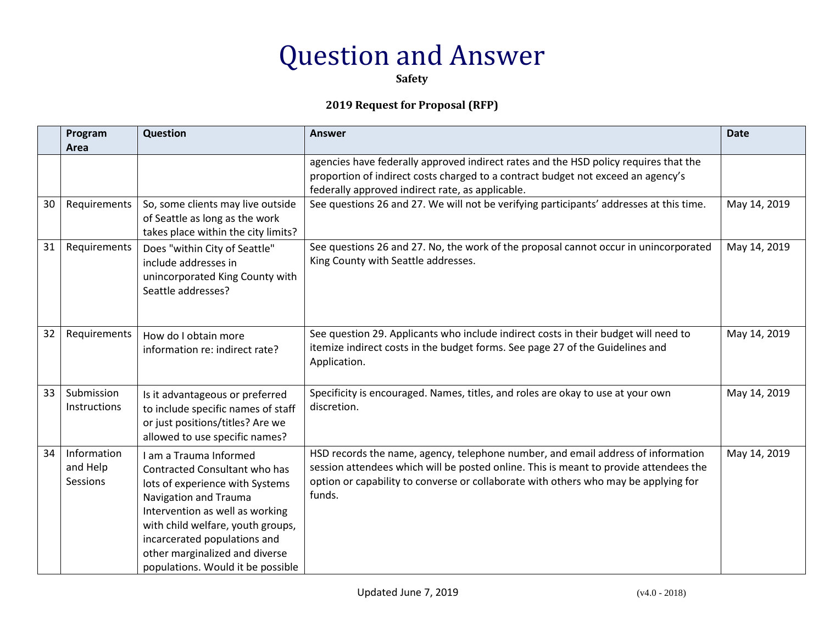**Safety**

|    | Program<br>Area                     | Question                                                                                                                                                                                                                                                                                           | <b>Answer</b>                                                                                                                                                                                                                                                              | <b>Date</b>  |
|----|-------------------------------------|----------------------------------------------------------------------------------------------------------------------------------------------------------------------------------------------------------------------------------------------------------------------------------------------------|----------------------------------------------------------------------------------------------------------------------------------------------------------------------------------------------------------------------------------------------------------------------------|--------------|
|    |                                     |                                                                                                                                                                                                                                                                                                    | agencies have federally approved indirect rates and the HSD policy requires that the<br>proportion of indirect costs charged to a contract budget not exceed an agency's<br>federally approved indirect rate, as applicable.                                               |              |
| 30 | Requirements                        | So, some clients may live outside<br>of Seattle as long as the work<br>takes place within the city limits?                                                                                                                                                                                         | See questions 26 and 27. We will not be verifying participants' addresses at this time.                                                                                                                                                                                    | May 14, 2019 |
| 31 | Requirements                        | Does "within City of Seattle"<br>include addresses in<br>unincorporated King County with<br>Seattle addresses?                                                                                                                                                                                     | See questions 26 and 27. No, the work of the proposal cannot occur in unincorporated<br>King County with Seattle addresses.                                                                                                                                                | May 14, 2019 |
| 32 | Requirements                        | How do I obtain more<br>information re: indirect rate?                                                                                                                                                                                                                                             | See question 29. Applicants who include indirect costs in their budget will need to<br>itemize indirect costs in the budget forms. See page 27 of the Guidelines and<br>Application.                                                                                       | May 14, 2019 |
| 33 | Submission<br>Instructions          | Is it advantageous or preferred<br>to include specific names of staff<br>or just positions/titles? Are we<br>allowed to use specific names?                                                                                                                                                        | Specificity is encouraged. Names, titles, and roles are okay to use at your own<br>discretion.                                                                                                                                                                             | May 14, 2019 |
| 34 | Information<br>and Help<br>Sessions | I am a Trauma Informed<br>Contracted Consultant who has<br>lots of experience with Systems<br>Navigation and Trauma<br>Intervention as well as working<br>with child welfare, youth groups,<br>incarcerated populations and<br>other marginalized and diverse<br>populations. Would it be possible | HSD records the name, agency, telephone number, and email address of information<br>session attendees which will be posted online. This is meant to provide attendees the<br>option or capability to converse or collaborate with others who may be applying for<br>funds. | May 14, 2019 |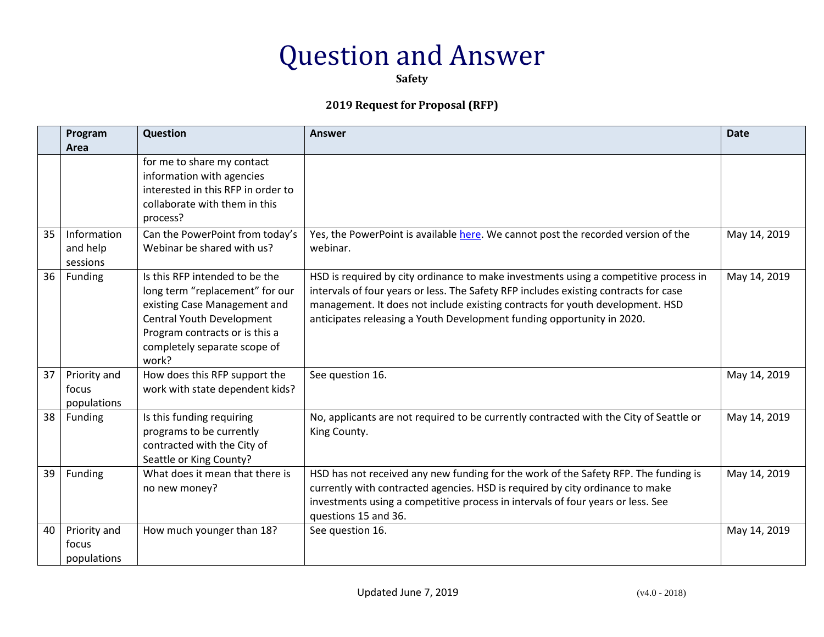**Safety**

|    | Program<br>Area                      | <b>Question</b>                                                                                                                                                                                                  | <b>Answer</b>                                                                                                                                                                                                                                                                                                                           | <b>Date</b>  |
|----|--------------------------------------|------------------------------------------------------------------------------------------------------------------------------------------------------------------------------------------------------------------|-----------------------------------------------------------------------------------------------------------------------------------------------------------------------------------------------------------------------------------------------------------------------------------------------------------------------------------------|--------------|
|    |                                      | for me to share my contact<br>information with agencies<br>interested in this RFP in order to<br>collaborate with them in this<br>process?                                                                       |                                                                                                                                                                                                                                                                                                                                         |              |
| 35 | Information<br>and help<br>sessions  | Can the PowerPoint from today's<br>Webinar be shared with us?                                                                                                                                                    | Yes, the PowerPoint is available here. We cannot post the recorded version of the<br>webinar.                                                                                                                                                                                                                                           | May 14, 2019 |
| 36 | Funding                              | Is this RFP intended to be the<br>long term "replacement" for our<br>existing Case Management and<br><b>Central Youth Development</b><br>Program contracts or is this a<br>completely separate scope of<br>work? | HSD is required by city ordinance to make investments using a competitive process in<br>intervals of four years or less. The Safety RFP includes existing contracts for case<br>management. It does not include existing contracts for youth development. HSD<br>anticipates releasing a Youth Development funding opportunity in 2020. | May 14, 2019 |
| 37 | Priority and<br>focus<br>populations | How does this RFP support the<br>work with state dependent kids?                                                                                                                                                 | See question 16.                                                                                                                                                                                                                                                                                                                        | May 14, 2019 |
| 38 | Funding                              | Is this funding requiring<br>programs to be currently<br>contracted with the City of<br>Seattle or King County?                                                                                                  | No, applicants are not required to be currently contracted with the City of Seattle or<br>King County.                                                                                                                                                                                                                                  | May 14, 2019 |
| 39 | Funding                              | What does it mean that there is<br>no new money?                                                                                                                                                                 | HSD has not received any new funding for the work of the Safety RFP. The funding is<br>currently with contracted agencies. HSD is required by city ordinance to make<br>investments using a competitive process in intervals of four years or less. See<br>questions 15 and 36.                                                         | May 14, 2019 |
| 40 | Priority and<br>focus<br>populations | How much younger than 18?                                                                                                                                                                                        | See question 16.                                                                                                                                                                                                                                                                                                                        | May 14, 2019 |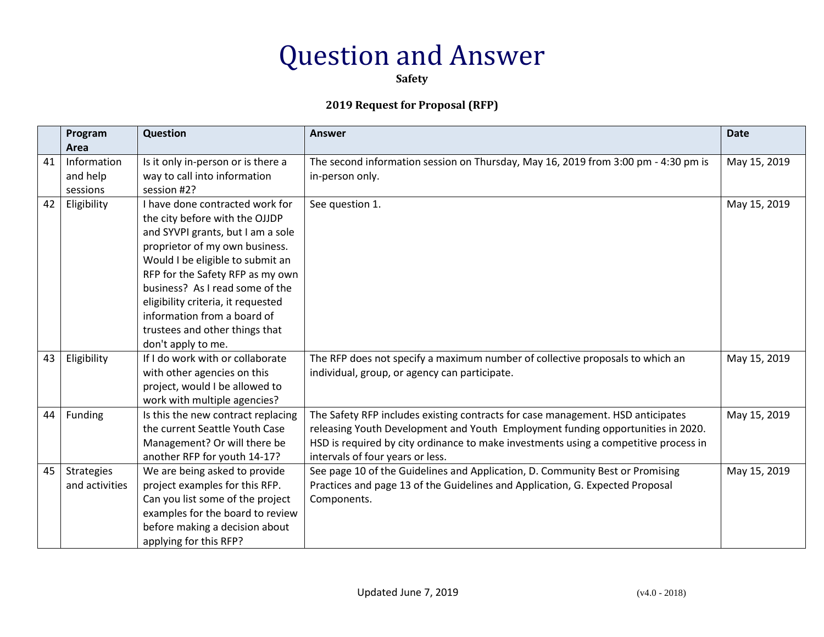**Safety**

|    | Program           | Question                           | <b>Answer</b>                                                                        | <b>Date</b>  |
|----|-------------------|------------------------------------|--------------------------------------------------------------------------------------|--------------|
|    | Area              |                                    |                                                                                      |              |
| 41 | Information       | Is it only in-person or is there a | The second information session on Thursday, May 16, 2019 from 3:00 pm - 4:30 pm is   | May 15, 2019 |
|    | and help          | way to call into information       | in-person only.                                                                      |              |
|    | sessions          | session #2?                        |                                                                                      |              |
| 42 | Eligibility       | I have done contracted work for    | See question 1.                                                                      | May 15, 2019 |
|    |                   | the city before with the OJJDP     |                                                                                      |              |
|    |                   | and SYVPI grants, but I am a sole  |                                                                                      |              |
|    |                   | proprietor of my own business.     |                                                                                      |              |
|    |                   | Would I be eligible to submit an   |                                                                                      |              |
|    |                   | RFP for the Safety RFP as my own   |                                                                                      |              |
|    |                   | business? As I read some of the    |                                                                                      |              |
|    |                   | eligibility criteria, it requested |                                                                                      |              |
|    |                   | information from a board of        |                                                                                      |              |
|    |                   | trustees and other things that     |                                                                                      |              |
|    |                   | don't apply to me.                 |                                                                                      |              |
| 43 | Eligibility       | If I do work with or collaborate   | The RFP does not specify a maximum number of collective proposals to which an        | May 15, 2019 |
|    |                   | with other agencies on this        | individual, group, or agency can participate.                                        |              |
|    |                   | project, would I be allowed to     |                                                                                      |              |
|    |                   | work with multiple agencies?       |                                                                                      |              |
| 44 | Funding           | Is this the new contract replacing | The Safety RFP includes existing contracts for case management. HSD anticipates      | May 15, 2019 |
|    |                   | the current Seattle Youth Case     | releasing Youth Development and Youth Employment funding opportunities in 2020.      |              |
|    |                   | Management? Or will there be       | HSD is required by city ordinance to make investments using a competitive process in |              |
|    |                   | another RFP for youth 14-17?       | intervals of four years or less.                                                     |              |
| 45 | <b>Strategies</b> | We are being asked to provide      | See page 10 of the Guidelines and Application, D. Community Best or Promising        | May 15, 2019 |
|    | and activities    | project examples for this RFP.     | Practices and page 13 of the Guidelines and Application, G. Expected Proposal        |              |
|    |                   | Can you list some of the project   | Components.                                                                          |              |
|    |                   | examples for the board to review   |                                                                                      |              |
|    |                   | before making a decision about     |                                                                                      |              |
|    |                   | applying for this RFP?             |                                                                                      |              |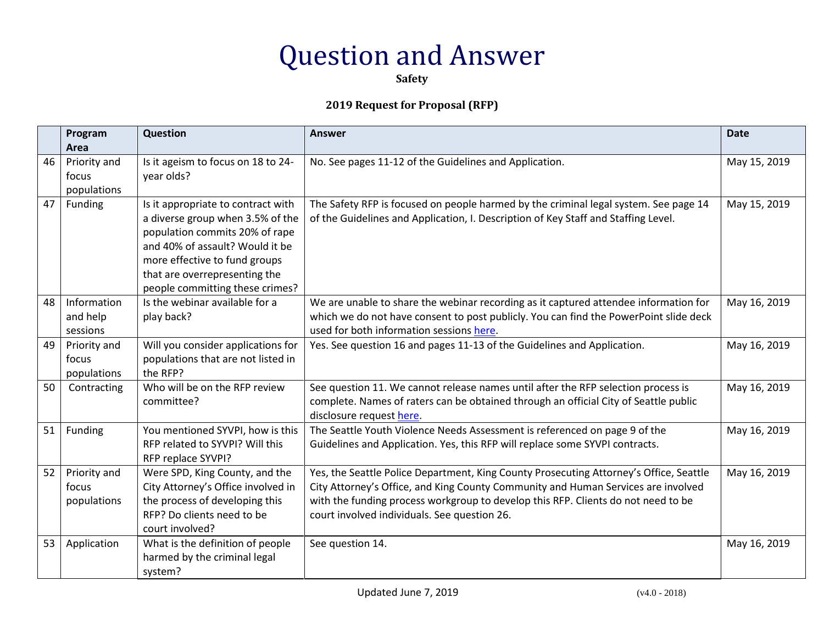**Safety**

|    | Program<br>Area                      | <b>Question</b>                                                                                                                                                                                                                                  | <b>Answer</b>                                                                                                                                                                                                                                                                                                    | <b>Date</b>  |
|----|--------------------------------------|--------------------------------------------------------------------------------------------------------------------------------------------------------------------------------------------------------------------------------------------------|------------------------------------------------------------------------------------------------------------------------------------------------------------------------------------------------------------------------------------------------------------------------------------------------------------------|--------------|
| 46 | Priority and<br>focus<br>populations | Is it ageism to focus on 18 to 24-<br>year olds?                                                                                                                                                                                                 | No. See pages 11-12 of the Guidelines and Application.                                                                                                                                                                                                                                                           | May 15, 2019 |
| 47 | Funding                              | Is it appropriate to contract with<br>a diverse group when 3.5% of the<br>population commits 20% of rape<br>and 40% of assault? Would it be<br>more effective to fund groups<br>that are overrepresenting the<br>people committing these crimes? | The Safety RFP is focused on people harmed by the criminal legal system. See page 14<br>of the Guidelines and Application, I. Description of Key Staff and Staffing Level.                                                                                                                                       | May 15, 2019 |
| 48 | Information<br>and help<br>sessions  | Is the webinar available for a<br>play back?                                                                                                                                                                                                     | We are unable to share the webinar recording as it captured attendee information for<br>which we do not have consent to post publicly. You can find the PowerPoint slide deck<br>used for both information sessions here.                                                                                        | May 16, 2019 |
| 49 | Priority and<br>focus<br>populations | Will you consider applications for<br>populations that are not listed in<br>the RFP?                                                                                                                                                             | Yes. See question 16 and pages 11-13 of the Guidelines and Application.                                                                                                                                                                                                                                          | May 16, 2019 |
| 50 | Contracting                          | Who will be on the RFP review<br>committee?                                                                                                                                                                                                      | See question 11. We cannot release names until after the RFP selection process is<br>complete. Names of raters can be obtained through an official City of Seattle public<br>disclosure request here.                                                                                                            | May 16, 2019 |
| 51 | Funding                              | You mentioned SYVPI, how is this<br>RFP related to SYVPI? Will this<br>RFP replace SYVPI?                                                                                                                                                        | The Seattle Youth Violence Needs Assessment is referenced on page 9 of the<br>Guidelines and Application. Yes, this RFP will replace some SYVPI contracts.                                                                                                                                                       | May 16, 2019 |
| 52 | Priority and<br>focus<br>populations | Were SPD, King County, and the<br>City Attorney's Office involved in<br>the process of developing this<br>RFP? Do clients need to be<br>court involved?                                                                                          | Yes, the Seattle Police Department, King County Prosecuting Attorney's Office, Seattle<br>City Attorney's Office, and King County Community and Human Services are involved<br>with the funding process workgroup to develop this RFP. Clients do not need to be<br>court involved individuals. See question 26. | May 16, 2019 |
| 53 | Application                          | What is the definition of people<br>harmed by the criminal legal<br>system?                                                                                                                                                                      | See question 14.                                                                                                                                                                                                                                                                                                 | May 16, 2019 |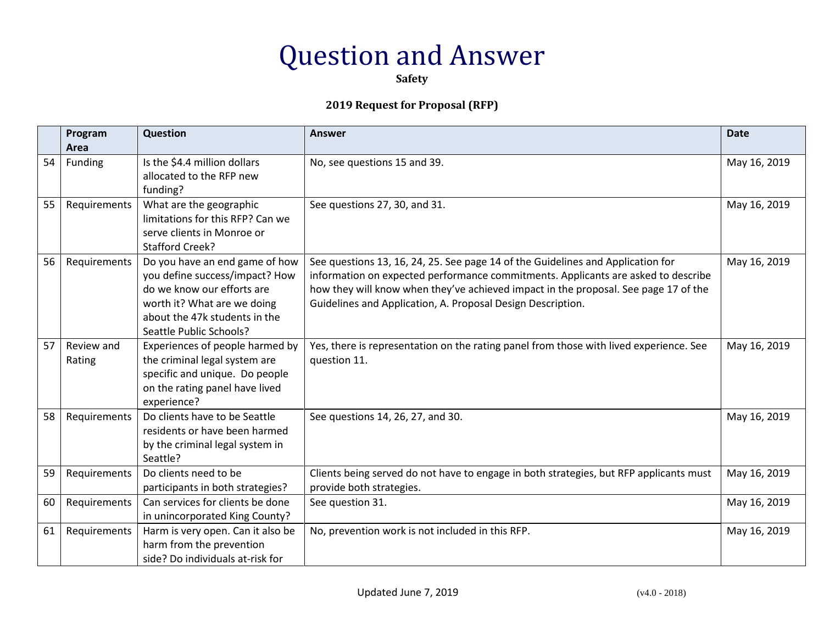**Safety**

|    | Program<br>Area      | <b>Question</b>                                                                                                                                                                           | <b>Answer</b>                                                                                                                                                                                                                                                                                                              | <b>Date</b>  |
|----|----------------------|-------------------------------------------------------------------------------------------------------------------------------------------------------------------------------------------|----------------------------------------------------------------------------------------------------------------------------------------------------------------------------------------------------------------------------------------------------------------------------------------------------------------------------|--------------|
| 54 | Funding              | Is the \$4.4 million dollars<br>allocated to the RFP new<br>funding?                                                                                                                      | No, see questions 15 and 39.                                                                                                                                                                                                                                                                                               | May 16, 2019 |
| 55 | Requirements         | What are the geographic<br>limitations for this RFP? Can we<br>serve clients in Monroe or<br><b>Stafford Creek?</b>                                                                       | See questions 27, 30, and 31.                                                                                                                                                                                                                                                                                              | May 16, 2019 |
| 56 | Requirements         | Do you have an end game of how<br>you define success/impact? How<br>do we know our efforts are<br>worth it? What are we doing<br>about the 47k students in the<br>Seattle Public Schools? | See questions 13, 16, 24, 25. See page 14 of the Guidelines and Application for<br>information on expected performance commitments. Applicants are asked to describe<br>how they will know when they've achieved impact in the proposal. See page 17 of the<br>Guidelines and Application, A. Proposal Design Description. | May 16, 2019 |
| 57 | Review and<br>Rating | Experiences of people harmed by<br>the criminal legal system are<br>specific and unique. Do people<br>on the rating panel have lived<br>experience?                                       | Yes, there is representation on the rating panel from those with lived experience. See<br>question 11.                                                                                                                                                                                                                     | May 16, 2019 |
| 58 | Requirements         | Do clients have to be Seattle<br>residents or have been harmed<br>by the criminal legal system in<br>Seattle?                                                                             | See questions 14, 26, 27, and 30.                                                                                                                                                                                                                                                                                          | May 16, 2019 |
| 59 | Requirements         | Do clients need to be<br>participants in both strategies?                                                                                                                                 | Clients being served do not have to engage in both strategies, but RFP applicants must<br>provide both strategies.                                                                                                                                                                                                         | May 16, 2019 |
| 60 | Requirements         | Can services for clients be done<br>in unincorporated King County?                                                                                                                        | See question 31.                                                                                                                                                                                                                                                                                                           | May 16, 2019 |
| 61 | Requirements         | Harm is very open. Can it also be<br>harm from the prevention<br>side? Do individuals at-risk for                                                                                         | No, prevention work is not included in this RFP.                                                                                                                                                                                                                                                                           | May 16, 2019 |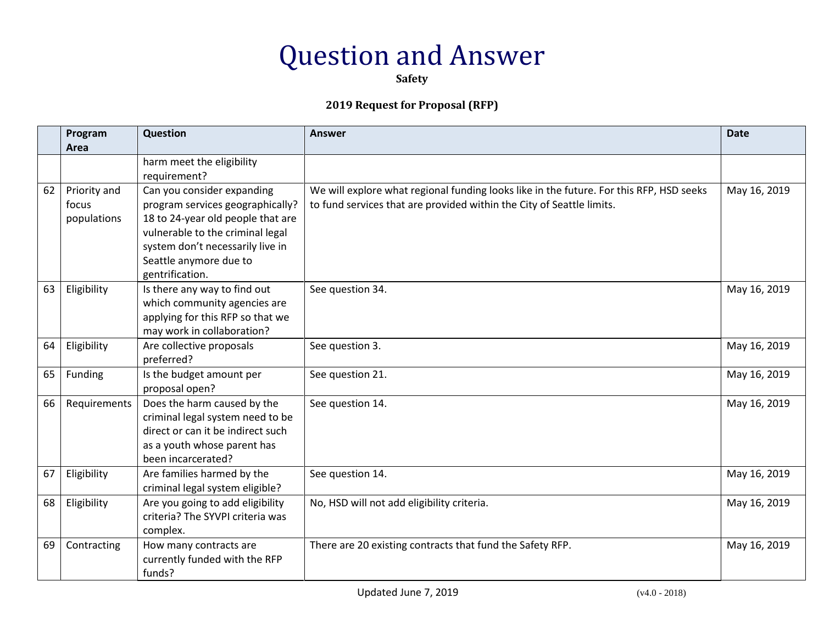**Safety**

|    | Program<br>Area                      | <b>Question</b>                                                                                                                                                                                                          | <b>Answer</b>                                                                                                                                                    | <b>Date</b>  |
|----|--------------------------------------|--------------------------------------------------------------------------------------------------------------------------------------------------------------------------------------------------------------------------|------------------------------------------------------------------------------------------------------------------------------------------------------------------|--------------|
|    |                                      | harm meet the eligibility<br>requirement?                                                                                                                                                                                |                                                                                                                                                                  |              |
| 62 | Priority and<br>focus<br>populations | Can you consider expanding<br>program services geographically?<br>18 to 24-year old people that are<br>vulnerable to the criminal legal<br>system don't necessarily live in<br>Seattle anymore due to<br>gentrification. | We will explore what regional funding looks like in the future. For this RFP, HSD seeks<br>to fund services that are provided within the City of Seattle limits. | May 16, 2019 |
| 63 | Eligibility                          | Is there any way to find out<br>which community agencies are<br>applying for this RFP so that we<br>may work in collaboration?                                                                                           | See question 34.                                                                                                                                                 | May 16, 2019 |
| 64 | Eligibility                          | Are collective proposals<br>preferred?                                                                                                                                                                                   | See question 3.                                                                                                                                                  | May 16, 2019 |
| 65 | Funding                              | Is the budget amount per<br>proposal open?                                                                                                                                                                               | See question 21.                                                                                                                                                 | May 16, 2019 |
| 66 | Requirements                         | Does the harm caused by the<br>criminal legal system need to be<br>direct or can it be indirect such<br>as a youth whose parent has<br>been incarcerated?                                                                | See question 14.                                                                                                                                                 | May 16, 2019 |
| 67 | Eligibility                          | Are families harmed by the<br>criminal legal system eligible?                                                                                                                                                            | See question 14.                                                                                                                                                 | May 16, 2019 |
| 68 | Eligibility                          | Are you going to add eligibility<br>criteria? The SYVPI criteria was<br>complex.                                                                                                                                         | No, HSD will not add eligibility criteria.                                                                                                                       | May 16, 2019 |
| 69 | Contracting                          | How many contracts are<br>currently funded with the RFP<br>funds?                                                                                                                                                        | There are 20 existing contracts that fund the Safety RFP.                                                                                                        | May 16, 2019 |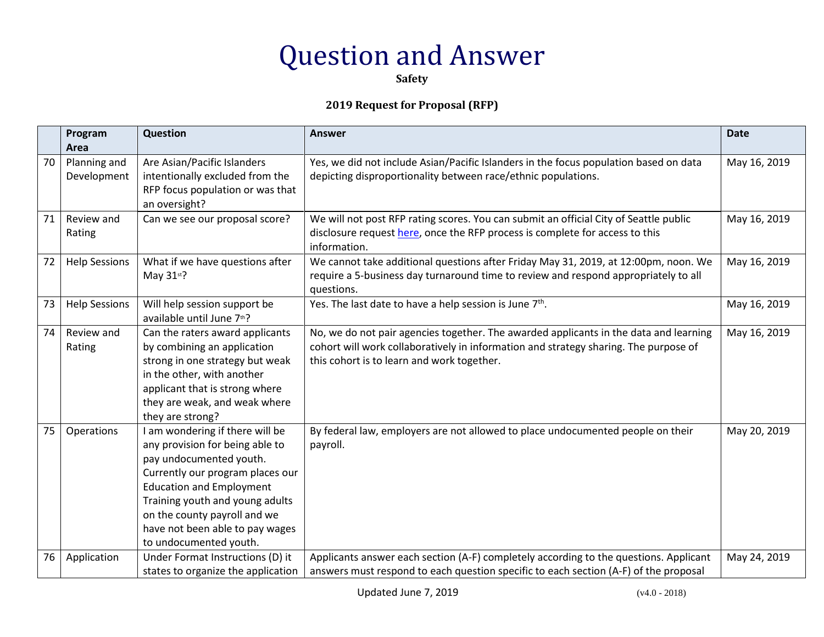**Safety**

|    | Program<br>Area             | <b>Question</b>                                                                                                                                                                                                                                                                                      | <b>Answer</b>                                                                                                                                                                                                               | <b>Date</b>  |
|----|-----------------------------|------------------------------------------------------------------------------------------------------------------------------------------------------------------------------------------------------------------------------------------------------------------------------------------------------|-----------------------------------------------------------------------------------------------------------------------------------------------------------------------------------------------------------------------------|--------------|
| 70 | Planning and<br>Development | Are Asian/Pacific Islanders<br>intentionally excluded from the<br>RFP focus population or was that<br>an oversight?                                                                                                                                                                                  | Yes, we did not include Asian/Pacific Islanders in the focus population based on data<br>depicting disproportionality between race/ethnic populations.                                                                      | May 16, 2019 |
| 71 | Review and<br>Rating        | Can we see our proposal score?                                                                                                                                                                                                                                                                       | We will not post RFP rating scores. You can submit an official City of Seattle public<br>disclosure request here, once the RFP process is complete for access to this<br>information.                                       | May 16, 2019 |
| 72 | <b>Help Sessions</b>        | What if we have questions after<br>May 31st?                                                                                                                                                                                                                                                         | We cannot take additional questions after Friday May 31, 2019, at 12:00pm, noon. We<br>require a 5-business day turnaround time to review and respond appropriately to all<br>questions.                                    | May 16, 2019 |
| 73 | <b>Help Sessions</b>        | Will help session support be<br>available until June 7th?                                                                                                                                                                                                                                            | Yes. The last date to have a help session is June 7 <sup>th</sup> .                                                                                                                                                         | May 16, 2019 |
| 74 | Review and<br>Rating        | Can the raters award applicants<br>by combining an application<br>strong in one strategy but weak<br>in the other, with another<br>applicant that is strong where<br>they are weak, and weak where<br>they are strong?                                                                               | No, we do not pair agencies together. The awarded applicants in the data and learning<br>cohort will work collaboratively in information and strategy sharing. The purpose of<br>this cohort is to learn and work together. | May 16, 2019 |
| 75 | Operations                  | I am wondering if there will be<br>any provision for being able to<br>pay undocumented youth.<br>Currently our program places our<br><b>Education and Employment</b><br>Training youth and young adults<br>on the county payroll and we<br>have not been able to pay wages<br>to undocumented youth. | By federal law, employers are not allowed to place undocumented people on their<br>payroll.                                                                                                                                 | May 20, 2019 |
| 76 | Application                 | Under Format Instructions (D) it<br>states to organize the application                                                                                                                                                                                                                               | Applicants answer each section (A-F) completely according to the questions. Applicant<br>answers must respond to each question specific to each section (A-F) of the proposal                                               | May 24, 2019 |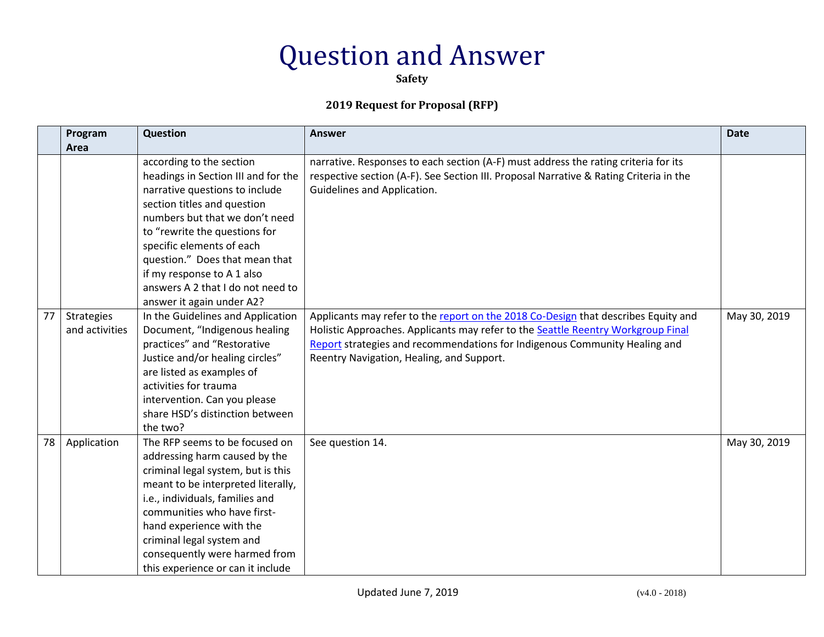**Safety**

|    | Program                             | Question                                                                                                                                                                                                                                                                                                                                                           | <b>Answer</b>                                                                                                                                                                                                                                                                                     | <b>Date</b>  |
|----|-------------------------------------|--------------------------------------------------------------------------------------------------------------------------------------------------------------------------------------------------------------------------------------------------------------------------------------------------------------------------------------------------------------------|---------------------------------------------------------------------------------------------------------------------------------------------------------------------------------------------------------------------------------------------------------------------------------------------------|--------------|
|    | Area                                |                                                                                                                                                                                                                                                                                                                                                                    |                                                                                                                                                                                                                                                                                                   |              |
|    |                                     | according to the section<br>headings in Section III and for the<br>narrative questions to include<br>section titles and question<br>numbers but that we don't need<br>to "rewrite the questions for<br>specific elements of each<br>question." Does that mean that<br>if my response to A 1 also<br>answers A 2 that I do not need to<br>answer it again under A2? | narrative. Responses to each section (A-F) must address the rating criteria for its<br>respective section (A-F). See Section III. Proposal Narrative & Rating Criteria in the<br>Guidelines and Application.                                                                                      |              |
| 77 | <b>Strategies</b><br>and activities | In the Guidelines and Application<br>Document, "Indigenous healing<br>practices" and "Restorative<br>Justice and/or healing circles"<br>are listed as examples of<br>activities for trauma<br>intervention. Can you please<br>share HSD's distinction between<br>the two?                                                                                          | Applicants may refer to the report on the 2018 Co-Design that describes Equity and<br>Holistic Approaches. Applicants may refer to the Seattle Reentry Workgroup Final<br>Report strategies and recommendations for Indigenous Community Healing and<br>Reentry Navigation, Healing, and Support. | May 30, 2019 |
| 78 | Application                         | The RFP seems to be focused on<br>addressing harm caused by the<br>criminal legal system, but is this<br>meant to be interpreted literally,<br>i.e., individuals, families and<br>communities who have first-<br>hand experience with the<br>criminal legal system and<br>consequently were harmed from<br>this experience or can it include                       | See question 14.                                                                                                                                                                                                                                                                                  | May 30, 2019 |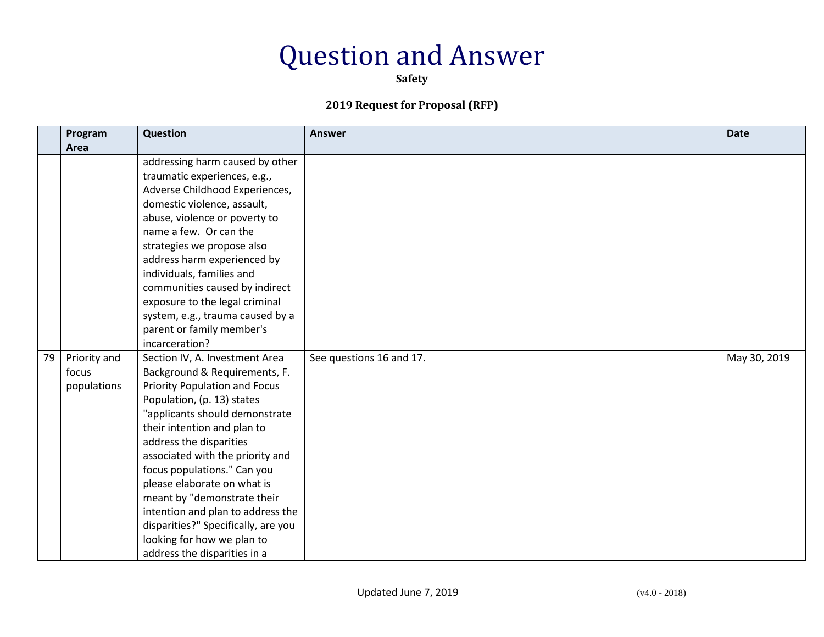**Safety**

|    | Program                              | Question                                                                                                                                                                                                                                                                                                                                                                                                                                                                                                                       | <b>Answer</b>            | <b>Date</b>  |
|----|--------------------------------------|--------------------------------------------------------------------------------------------------------------------------------------------------------------------------------------------------------------------------------------------------------------------------------------------------------------------------------------------------------------------------------------------------------------------------------------------------------------------------------------------------------------------------------|--------------------------|--------------|
|    | Area                                 |                                                                                                                                                                                                                                                                                                                                                                                                                                                                                                                                |                          |              |
|    |                                      | addressing harm caused by other<br>traumatic experiences, e.g.,<br>Adverse Childhood Experiences,<br>domestic violence, assault,<br>abuse, violence or poverty to<br>name a few. Or can the<br>strategies we propose also<br>address harm experienced by<br>individuals, families and<br>communities caused by indirect<br>exposure to the legal criminal<br>system, e.g., trauma caused by a<br>parent or family member's                                                                                                     |                          |              |
| 79 | Priority and<br>focus<br>populations | incarceration?<br>Section IV, A. Investment Area<br>Background & Requirements, F.<br><b>Priority Population and Focus</b><br>Population, (p. 13) states<br>"applicants should demonstrate<br>their intention and plan to<br>address the disparities<br>associated with the priority and<br>focus populations." Can you<br>please elaborate on what is<br>meant by "demonstrate their<br>intention and plan to address the<br>disparities?" Specifically, are you<br>looking for how we plan to<br>address the disparities in a | See questions 16 and 17. | May 30, 2019 |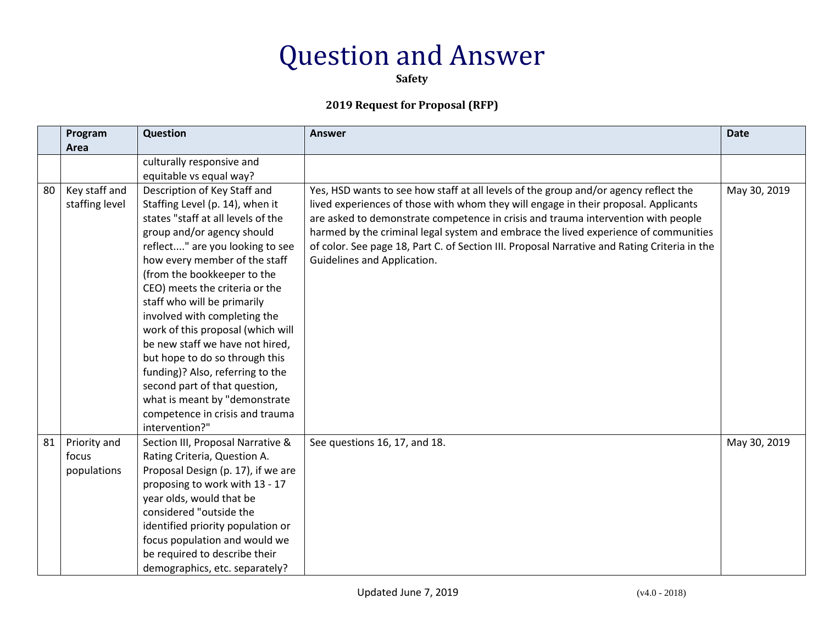**Safety**

|    | Program        | Question                           | <b>Answer</b>                                                                                | <b>Date</b>  |
|----|----------------|------------------------------------|----------------------------------------------------------------------------------------------|--------------|
|    | Area           |                                    |                                                                                              |              |
|    |                | culturally responsive and          |                                                                                              |              |
|    |                | equitable vs equal way?            |                                                                                              |              |
| 80 | Key staff and  | Description of Key Staff and       | Yes, HSD wants to see how staff at all levels of the group and/or agency reflect the         | May 30, 2019 |
|    | staffing level | Staffing Level (p. 14), when it    | lived experiences of those with whom they will engage in their proposal. Applicants          |              |
|    |                | states "staff at all levels of the | are asked to demonstrate competence in crisis and trauma intervention with people            |              |
|    |                | group and/or agency should         | harmed by the criminal legal system and embrace the lived experience of communities          |              |
|    |                | reflect" are you looking to see    | of color. See page 18, Part C. of Section III. Proposal Narrative and Rating Criteria in the |              |
|    |                | how every member of the staff      | Guidelines and Application.                                                                  |              |
|    |                | (from the bookkeeper to the        |                                                                                              |              |
|    |                | CEO) meets the criteria or the     |                                                                                              |              |
|    |                | staff who will be primarily        |                                                                                              |              |
|    |                | involved with completing the       |                                                                                              |              |
|    |                | work of this proposal (which will  |                                                                                              |              |
|    |                | be new staff we have not hired,    |                                                                                              |              |
|    |                | but hope to do so through this     |                                                                                              |              |
|    |                | funding)? Also, referring to the   |                                                                                              |              |
|    |                | second part of that question,      |                                                                                              |              |
|    |                | what is meant by "demonstrate      |                                                                                              |              |
|    |                | competence in crisis and trauma    |                                                                                              |              |
|    |                | intervention?"                     |                                                                                              |              |
| 81 | Priority and   | Section III, Proposal Narrative &  | See questions 16, 17, and 18.                                                                | May 30, 2019 |
|    | focus          | Rating Criteria, Question A.       |                                                                                              |              |
|    | populations    | Proposal Design (p. 17), if we are |                                                                                              |              |
|    |                | proposing to work with 13 - 17     |                                                                                              |              |
|    |                | year olds, would that be           |                                                                                              |              |
|    |                | considered "outside the            |                                                                                              |              |
|    |                | identified priority population or  |                                                                                              |              |
|    |                | focus population and would we      |                                                                                              |              |
|    |                | be required to describe their      |                                                                                              |              |
|    |                | demographics, etc. separately?     |                                                                                              |              |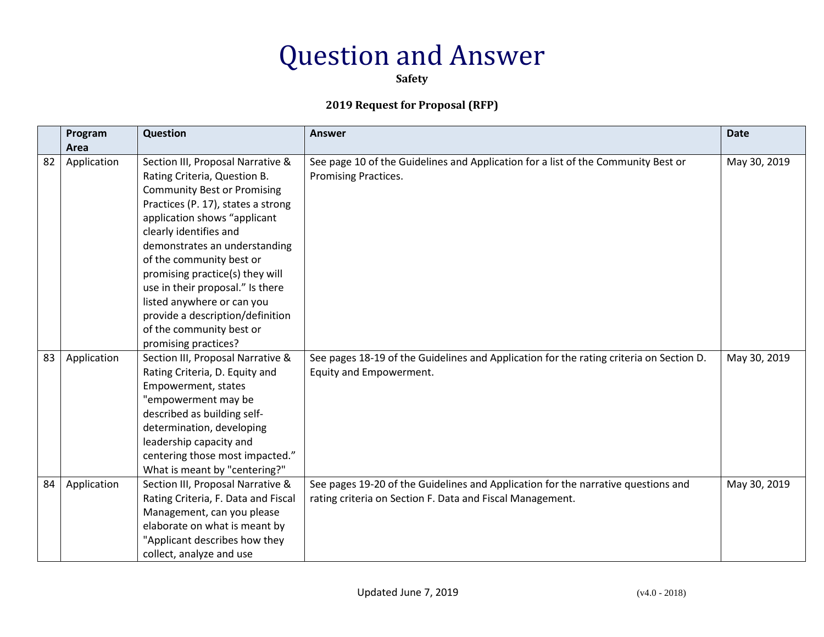**Safety**

|    | Program<br>Area | Question                                                                                                                                                                                                                                                                                                                                                                                                                                                          | <b>Answer</b>                                                                                                                                  | <b>Date</b>  |
|----|-----------------|-------------------------------------------------------------------------------------------------------------------------------------------------------------------------------------------------------------------------------------------------------------------------------------------------------------------------------------------------------------------------------------------------------------------------------------------------------------------|------------------------------------------------------------------------------------------------------------------------------------------------|--------------|
| 82 | Application     | Section III, Proposal Narrative &<br>Rating Criteria, Question B.<br><b>Community Best or Promising</b><br>Practices (P. 17), states a strong<br>application shows "applicant<br>clearly identifies and<br>demonstrates an understanding<br>of the community best or<br>promising practice(s) they will<br>use in their proposal." Is there<br>listed anywhere or can you<br>provide a description/definition<br>of the community best or<br>promising practices? | See page 10 of the Guidelines and Application for a list of the Community Best or<br>Promising Practices.                                      | May 30, 2019 |
| 83 | Application     | Section III, Proposal Narrative &<br>Rating Criteria, D. Equity and<br>Empowerment, states<br>"empowerment may be<br>described as building self-<br>determination, developing<br>leadership capacity and<br>centering those most impacted."<br>What is meant by "centering?"                                                                                                                                                                                      | See pages 18-19 of the Guidelines and Application for the rating criteria on Section D.<br>Equity and Empowerment.                             | May 30, 2019 |
| 84 | Application     | Section III, Proposal Narrative &<br>Rating Criteria, F. Data and Fiscal<br>Management, can you please<br>elaborate on what is meant by<br>"Applicant describes how they<br>collect, analyze and use                                                                                                                                                                                                                                                              | See pages 19-20 of the Guidelines and Application for the narrative questions and<br>rating criteria on Section F. Data and Fiscal Management. | May 30, 2019 |